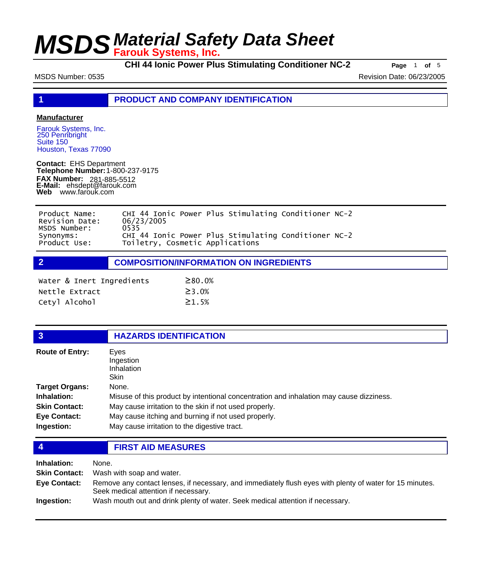**CHI 44 Ionic Power Plus Stimulating Conditioner NC-2 Page** <sup>1</sup> **of** <sup>5</sup>

MSDS Number: 0535 Revision Date: 06/23/2005

**1 PRODUCT AND COMPANY IDENTIFICATION**

#### **Manufacturer**

Farouk Systems, Inc. 250 Pennbright Suite 150 Houston, Texas 77090

**Contact:** EHS Department **Telephone Number:** 1-800-237-9175 **FAX Number: FAX Number:** 281-885-5512<br>**E-Mail:** ehsdept@farouk.com **Web** www.farouk.com

| Product Name:<br>Revision Date:           | CHI 44 Ionic Power Plus Stimulating Conditioner NC-2<br>06/23/2005                              |  |  |
|-------------------------------------------|-------------------------------------------------------------------------------------------------|--|--|
| MSDS Number:<br>Synonyms:<br>Product Use: | 0535<br>CHI 44 Ionic Power Plus Stimulating Conditioner NC-2<br>Toiletry, Cosmetic Applications |  |  |

**2 COMPOSITION/INFORMATION ON INGREDIENTS**

| Water & Inert Ingredients | $\geq 80.0\%$ |
|---------------------------|---------------|
| Nettle Extract            | $\geq$ 3.0%   |
| Cetyl Alcohol             | $\geq 1.5%$   |

### **3 HAZARDS IDENTIFICATION**

| <b>Route of Entry:</b> | Eves<br>Ingestion                                                                       |  |  |
|------------------------|-----------------------------------------------------------------------------------------|--|--|
|                        | Inhalation                                                                              |  |  |
|                        | Skin                                                                                    |  |  |
| Target Organs:         | None.                                                                                   |  |  |
| <b>Inhalation:</b>     | Misuse of this product by intentional concentration and inhalation may cause dizziness. |  |  |
| <b>Skin Contact:</b>   | May cause irritation to the skin if not used properly.                                  |  |  |
| <b>Eye Contact:</b>    | May cause itching and burning if not used properly.                                     |  |  |
| Ingestion:             | May cause irritation to the digestive tract.                                            |  |  |

**4 FIRST AID MEASURES**

| Inhalation:          | None.                                                                                                                                            |
|----------------------|--------------------------------------------------------------------------------------------------------------------------------------------------|
| <b>Skin Contact:</b> | Wash with soap and water.                                                                                                                        |
| Eye Contact:         | Remove any contact lenses, if necessary, and immediately flush eyes with plenty of water for 15 minutes.<br>Seek medical attention if necessary. |
| Ingestion:           | Wash mouth out and drink plenty of water. Seek medical attention if necessary.                                                                   |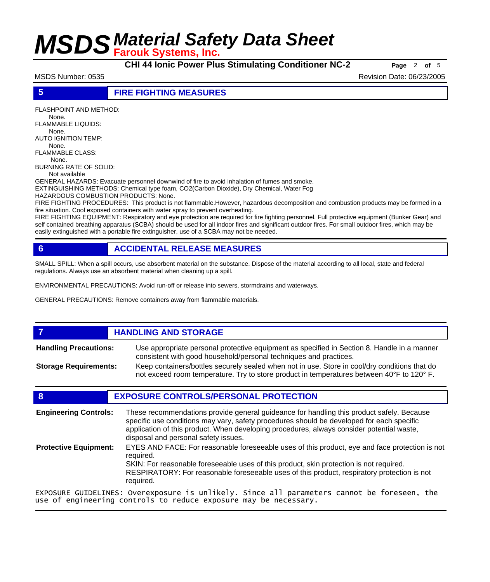**CHI 44 Ionic Power Plus Stimulating Conditioner NC-2 Page** <sup>2</sup> **of** <sup>5</sup>

MSDS Number: 0535 Revision Date: 06/23/2005

#### **5 FIRE FIGHTING MEASURES**

FLASHPOINT AND METHOD:

 None. FLAMMABLE LIQUIDS:

 None. AUTO IGNITION TEMP:

None.

FLAMMABLE CLASS: None.

BURNING RATE OF SOLID:

Not available

GENERAL HAZARDS: Evacuate personnel downwind of fire to avoid inhalation of fumes and smoke.

EXTINGUISHING METHODS: Chemical type foam, CO2(Carbon Dioxide), Dry Chemical, Water Fog

HAZARDOUS COMBUSTION PRODUCTS: None.

FIRE FIGHTING PROCEDURES: This product is not flammable.However, hazardous decomposition and combustion products may be formed in a fire situation. Cool exposed containers with water spray to prevent overheating.

FIRE FIGHTING EQUIPMENT: Respiratory and eye protection are required for fire fighting personnel. Full protective equipment (Bunker Gear) and self contained breathing apparatus (SCBA) should be used for all indoor fires and significant outdoor fires. For small outdoor fires, which may be easily extinguished with a portable fire extinguisher, use of a SCBA may not be needed.

### **6 ACCIDENTAL RELEASE MEASURES**

SMALL SPILL: When a spill occurs, use absorbent material on the substance. Dispose of the material according to all local, state and federal regulations. Always use an absorbent material when cleaning up a spill.

ENVIRONMENTAL PRECAUTIONS: Avoid run-off or release into sewers, stormdrains and waterways.

GENERAL PRECAUTIONS: Remove containers away from flammable materials.

#### **7 HANDLING AND STORAGE** Use appropriate personal protective equipment as specified in Section 8. Handle in a manner consistent with good household/personal techniques and practices. **Handling Precautions:** Keep containers/bottles securely sealed when not in use. Store in cool/dry conditions that do not exceed room temperature. Try to store product in temperatures between 40°F to 120° F. **Storage Requirements:**

### **8 EXPOSURE CONTROLS/PERSONAL PROTECTION**

These recommendations provide general guideance for handling this product safely. Because specific use conditions may vary, safety procedures should be developed for each specific application of this product. When developing procedures, always consider potential waste, disposal and personal safety issues. **Engineering Controls:** EYES AND FACE: For reasonable foreseeable uses of this product, eye and face protection is not required. SKIN: For reasonable foreseeable uses of this product, skin protection is not required. RESPIRATORY: For reasonable foreseeable uses of this product, respiratory protection is not required. **Protective Equipment:** EXPOSURE GUIDELINES: Overexposure is unlikely. Since all parameters cannot be foreseen, the use of engineering controls to reduce exposure may be necessary.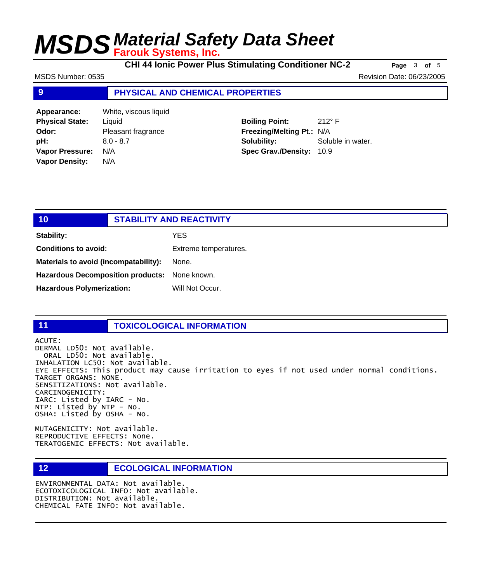**CHI 44 Ionic Power Plus Stimulating Conditioner NC-2 Page** <sup>3</sup> **of** <sup>5</sup>

MSDS Number: 0535 Revision Date: 06/23/2005

#### **9 PHYSICAL AND CHEMICAL PROPERTIES**

**Appearance:** White, viscous liquid **Physical State:** Liquid **Odor:** Pleasant fragrance **pH:** 8.0 - 8.7 **Vapor Pressure:** N/A **Vapor Density:** N/A

**Boiling Point:** 212° F **Freezing/Melting Pt.:** N/A **Solubility:** Soluble in water. **Spec Grav./Density:** 10.9

| 10                                            | <b>STABILITY AND REACTIVITY</b> |                       |
|-----------------------------------------------|---------------------------------|-----------------------|
| <b>Stability:</b>                             |                                 | <b>YES</b>            |
| <b>Conditions to avoid:</b>                   |                                 | Extreme temperatures. |
| Materials to avoid (incompatability):         |                                 | None.                 |
| Hazardous Decomposition products: None known. |                                 |                       |
| <b>Hazardous Polymerization:</b>              |                                 | Will Not Occur.       |
|                                               |                                 |                       |

#### **11 TOXICOLOGICAL INFORMATION**

ACUTE: DERMAL LD50: Not available. ORAL LD50: Not available. INHALATION LC50: Not available. EYE EFFECTS: This product may cause irritation to eyes if not used under normal conditions. TARGET ORGANS: NONE. SENSITIZATIONS: Not available. CARCINOGENICITY: IARC: Listed by IARC - No. NTP: Listed by NTP - No. OSHA: Listed by OSHA - No.

MUTAGENICITY: Not available. REPRODUCTIVE EFFECTS: None. TERATOGENIC EFFECTS: Not available.

#### **12 ECOLOGICAL INFORMATION**

ENVIRONMENTAL DATA: Not available. ECOTOXICOLOGICAL INFO: Not available. DISTRIBUTION: Not available. CHEMICAL FATE INFO: Not available.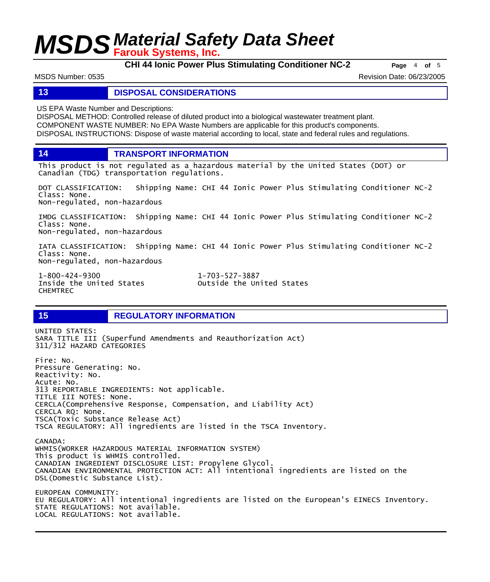**CHI 44 Ionic Power Plus Stimulating Conditioner NC-2 Page** <sup>4</sup> **of** <sup>5</sup>

MSDS Number: 0535 Revision Date: 06/23/2005

#### **13 DISPOSAL CONSIDERATIONS**

US EPA Waste Number and Descriptions:

DISPOSAL METHOD: Controlled release of diluted product into a biological wastewater treatment plant. COMPONENT WASTE NUMBER: No EPA Waste Numbers are applicable for this product's components. DISPOSAL INSTRUCTIONS: Dispose of waste material according to local, state and federal rules and regulations.

**14 TRANSPORT INFORMATION**

This product is not regulated as a hazardous material by the United States (DOT) or Canadian (TDG) transportation regulations.

DOT CLASSIFICATION: Shipping Name: CHI 44 Ionic Power Plus Stimulating Conditioner NC-2 Class: None. Non-regulated, non-hazardous

IMDG CLASSIFICATION: Shipping Name: CHI 44 Ionic Power Plus Stimulating Conditioner NC-2 Class: None. Non-regulated, non-hazardous

IATA CLASSIFICATION: Shipping Name: CHI 44 Ionic Power Plus Stimulating Conditioner NC-2 Class: None. Non-regulated, non-hazardous

1-800-424-9300 1-703-527-3887 CHEMTREC

Outside the United States

### **15 REGULATORY INFORMATION**

UNITED STATES: SARA TITLE III (Superfund Amendments and Reauthorization Act) 311/312 HAZARD CATEGORIES Fire: No. Pressure Generating: No. Reactivity: No. Acute: No. 313 REPORTABLE INGREDIENTS: Not applicable. TITLE III NOTES: None. CERCLA(Comprehensive Response, Compensation, and Liability Act) CERCLA RQ: None. TSCA(Toxic Substance Release Act) TSCA REGULATORY: All ingredients are listed in the TSCA Inventory. CANADA: WHMIS(WORKER HAZARDOUS MATERIAL INFORMATION SYSTEM) This product is WHMIS controlled. CANADIAN INGREDIENT DISCLOSURE LIST: Propylene Glycol. CANADIAN ENVIRONMENTAL PROTECTION ACT: All intentional ingredients are listed on the DSL(Domestic Substance List). EUROPEAN COMMUNITY: EU REGULATORY: All intentional ingredients are listed on the European's EINECS Inventory. STATE REGULATIONS: Not available. LOCAL REGULATIONS: Not available.